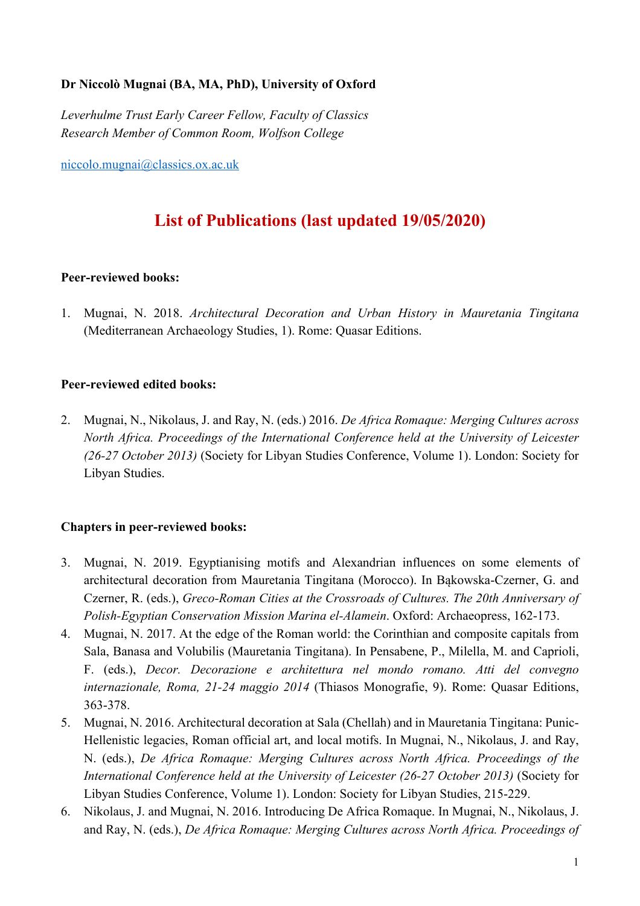## **Dr Niccolò Mugnai (BA, MA, PhD), University of Oxford**

*Leverhulme Trust Early Career Fellow, Faculty of Classics Research Member of Common Room, Wolfson College*

niccolo.mugnai@classics.ox.ac.uk

# **List of Publications (last updated 19/05/2020)**

### **Peer-reviewed books:**

1. Mugnai, N. 2018. *Architectural Decoration and Urban History in Mauretania Tingitana* (Mediterranean Archaeology Studies, 1). Rome: Quasar Editions.

### **Peer-reviewed edited books:**

2. Mugnai, N., Nikolaus, J. and Ray, N. (eds.) 2016. *De Africa Romaque: Merging Cultures across North Africa. Proceedings of the International Conference held at the University of Leicester (26-27 October 2013)* (Society for Libyan Studies Conference, Volume 1). London: Society for Libyan Studies.

# **Chapters in peer-reviewed books:**

- 3. Mugnai, N. 2019. Egyptianising motifs and Alexandrian influences on some elements of architectural decoration from Mauretania Tingitana (Morocco). In Bąkowska-Czerner, G. and Czerner, R. (eds.), *Greco-Roman Cities at the Crossroads of Cultures. The 20th Anniversary of Polish-Egyptian Conservation Mission Marina el-Alamein*. Oxford: Archaeopress, 162-173.
- 4. Mugnai, N. 2017. At the edge of the Roman world: the Corinthian and composite capitals from Sala, Banasa and Volubilis (Mauretania Tingitana). In Pensabene, P., Milella, M. and Caprioli, F. (eds.), *Decor. Decorazione e architettura nel mondo romano. Atti del convegno internazionale, Roma, 21-24 maggio 2014* (Thiasos Monografie, 9). Rome: Quasar Editions, 363-378.
- 5. Mugnai, N. 2016. Architectural decoration at Sala (Chellah) and in Mauretania Tingitana: Punic-Hellenistic legacies, Roman official art, and local motifs. In Mugnai, N., Nikolaus, J. and Ray, N. (eds.), *De Africa Romaque: Merging Cultures across North Africa. Proceedings of the International Conference held at the University of Leicester (26-27 October 2013)* (Society for Libyan Studies Conference, Volume 1). London: Society for Libyan Studies, 215-229.
- 6. Nikolaus, J. and Mugnai, N. 2016. Introducing De Africa Romaque. In Mugnai, N., Nikolaus, J. and Ray, N. (eds.), *De Africa Romaque: Merging Cultures across North Africa. Proceedings of*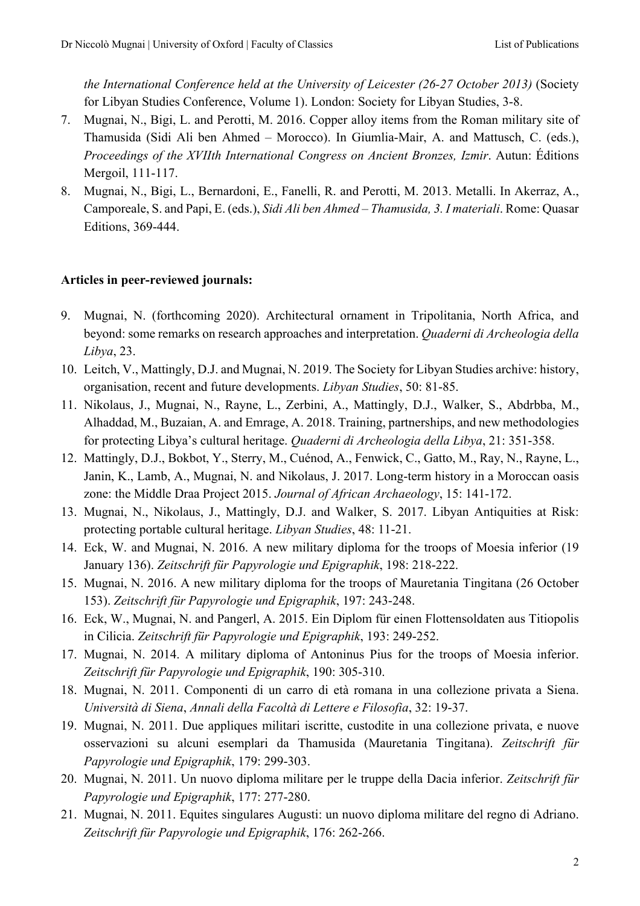*the International Conference held at the University of Leicester (26-27 October 2013)* (Society for Libyan Studies Conference, Volume 1). London: Society for Libyan Studies, 3-8.

- 7. Mugnai, N., Bigi, L. and Perotti, M. 2016. Copper alloy items from the Roman military site of Thamusida (Sidi Ali ben Ahmed – Morocco). In Giumlia-Mair, A. and Mattusch, C. (eds.), *Proceedings of the XVIIth International Congress on Ancient Bronzes, Izmir*. Autun: Éditions Mergoil, 111-117.
- 8. Mugnai, N., Bigi, L., Bernardoni, E., Fanelli, R. and Perotti, M. 2013. Metalli. In Akerraz, A., Camporeale, S. and Papi, E. (eds.), *Sidi Ali ben Ahmed – Thamusida, 3. I materiali*. Rome: Quasar Editions, 369-444.

### **Articles in peer-reviewed journals:**

- 9. Mugnai, N. (forthcoming 2020). Architectural ornament in Tripolitania, North Africa, and beyond: some remarks on research approaches and interpretation. *Quaderni di Archeologia della Libya*, 23.
- 10. Leitch, V., Mattingly, D.J. and Mugnai, N. 2019. The Society for Libyan Studies archive: history, organisation, recent and future developments. *Libyan Studies*, 50: 81-85.
- 11. Nikolaus, J., Mugnai, N., Rayne, L., Zerbini, A., Mattingly, D.J., Walker, S., Abdrbba, M., Alhaddad, M., Buzaian, A. and Emrage, A. 2018. Training, partnerships, and new methodologies for protecting Libya's cultural heritage. *Quaderni di Archeologia della Libya*, 21: 351-358.
- 12. Mattingly, D.J., Bokbot, Y., Sterry, M., Cuénod, A., Fenwick, C., Gatto, M., Ray, N., Rayne, L., Janin, K., Lamb, A., Mugnai, N. and Nikolaus, J. 2017. Long-term history in a Moroccan oasis zone: the Middle Draa Project 2015. *Journal of African Archaeology*, 15: 141-172.
- 13. Mugnai, N., Nikolaus, J., Mattingly, D.J. and Walker, S. 2017. Libyan Antiquities at Risk: protecting portable cultural heritage. *Libyan Studies*, 48: 11-21.
- 14. Eck, W. and Mugnai, N. 2016. A new military diploma for the troops of Moesia inferior (19 January 136). *Zeitschrift für Papyrologie und Epigraphik*, 198: 218-222.
- 15. Mugnai, N. 2016. A new military diploma for the troops of Mauretania Tingitana (26 October 153). *Zeitschrift für Papyrologie und Epigraphik*, 197: 243-248.
- 16. Eck, W., Mugnai, N. and Pangerl, A. 2015. Ein Diplom für einen Flottensoldaten aus Titiopolis in Cilicia. *Zeitschrift für Papyrologie und Epigraphik*, 193: 249-252.
- 17. Mugnai, N. 2014. A military diploma of Antoninus Pius for the troops of Moesia inferior. *Zeitschrift für Papyrologie und Epigraphik*, 190: 305-310.
- 18. Mugnai, N. 2011. Componenti di un carro di età romana in una collezione privata a Siena. *Università di Siena*, *Annali della Facoltà di Lettere e Filosofia*, 32: 19-37.
- 19. Mugnai, N. 2011. Due appliques militari iscritte, custodite in una collezione privata, e nuove osservazioni su alcuni esemplari da Thamusida (Mauretania Tingitana). *Zeitschrift für Papyrologie und Epigraphik*, 179: 299-303.
- 20. Mugnai, N. 2011. Un nuovo diploma militare per le truppe della Dacia inferior. *Zeitschrift für Papyrologie und Epigraphik*, 177: 277-280.
- 21. Mugnai, N. 2011. Equites singulares Augusti: un nuovo diploma militare del regno di Adriano. *Zeitschrift für Papyrologie und Epigraphik*, 176: 262-266.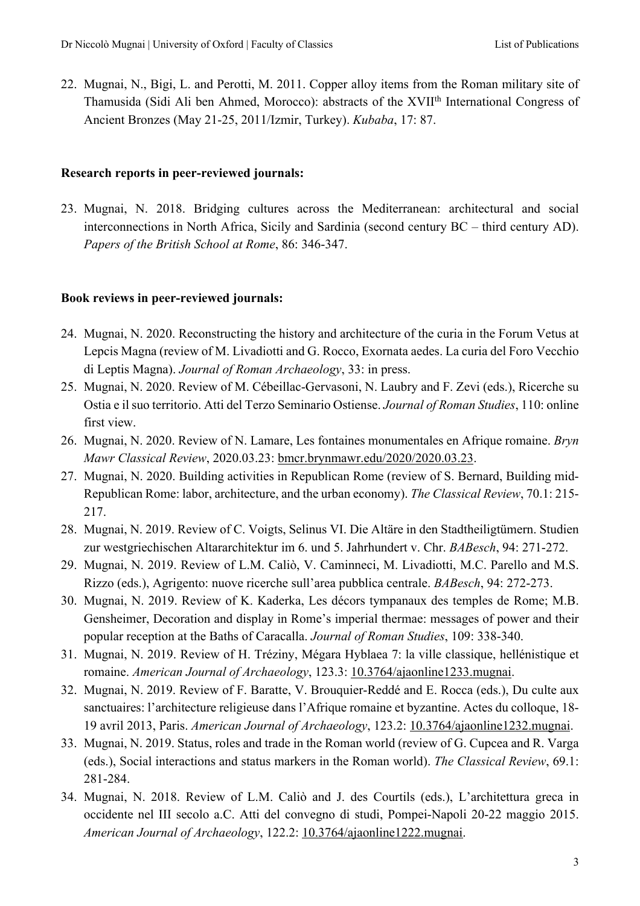22. Mugnai, N., Bigi, L. and Perotti, M. 2011. Copper alloy items from the Roman military site of Thamusida (Sidi Ali ben Ahmed, Morocco): abstracts of the XVII<sup>th</sup> International Congress of Ancient Bronzes (May 21-25, 2011/Izmir, Turkey). *Kubaba*, 17: 87.

#### **Research reports in peer-reviewed journals:**

23. Mugnai, N. 2018. Bridging cultures across the Mediterranean: architectural and social interconnections in North Africa, Sicily and Sardinia (second century BC – third century AD). *Papers of the British School at Rome*, 86: 346-347.

#### **Book reviews in peer-reviewed journals:**

- 24. Mugnai, N. 2020. Reconstructing the history and architecture of the curia in the Forum Vetus at Lepcis Magna (review of M. Livadiotti and G. Rocco, Exornata aedes. La curia del Foro Vecchio di Leptis Magna). *Journal of Roman Archaeology*, 33: in press.
- 25. Mugnai, N. 2020. Review of M. Cébeillac-Gervasoni, N. Laubry and F. Zevi (eds.), Ricerche su Ostia e il suo territorio. Atti del Terzo Seminario Ostiense. *Journal of Roman Studies*, 110: online first view.
- 26. Mugnai, N. 2020. Review of N. Lamare, Les fontaines monumentales en Afrique romaine. *Bryn Mawr Classical Review*, 2020.03.23: bmcr.brynmawr.edu/2020/2020.03.23.
- 27. Mugnai, N. 2020. Building activities in Republican Rome (review of S. Bernard, Building mid-Republican Rome: labor, architecture, and the urban economy). *The Classical Review*, 70.1: 215- 217.
- 28. Mugnai, N. 2019. Review of C. Voigts, Selinus VI. Die Altäre in den Stadtheiligtümern. Studien zur westgriechischen Altararchitektur im 6. und 5. Jahrhundert v. Chr. *BABesch*, 94: 271-272.
- 29. Mugnai, N. 2019. Review of L.M. Caliò, V. Caminneci, M. Livadiotti, M.C. Parello and M.S. Rizzo (eds.), Agrigento: nuove ricerche sull'area pubblica centrale. *BABesch*, 94: 272-273.
- 30. Mugnai, N. 2019. Review of K. Kaderka, Les décors tympanaux des temples de Rome; M.B. Gensheimer, Decoration and display in Rome's imperial thermae: messages of power and their popular reception at the Baths of Caracalla. *Journal of Roman Studies*, 109: 338-340.
- 31. Mugnai, N. 2019. Review of H. Tréziny, Mégara Hyblaea 7: la ville classique, hellénistique et romaine. *American Journal of Archaeology*, 123.3: 10.3764/ajaonline1233.mugnai.
- 32. Mugnai, N. 2019. Review of F. Baratte, V. Brouquier-Reddé and E. Rocca (eds.), Du culte aux sanctuaires: l'architecture religieuse dans l'Afrique romaine et byzantine. Actes du colloque, 18- 19 avril 2013, Paris. *American Journal of Archaeology*, 123.2: 10.3764/ajaonline1232.mugnai.
- 33. Mugnai, N. 2019. Status, roles and trade in the Roman world (review of G. Cupcea and R. Varga (eds.), Social interactions and status markers in the Roman world). *The Classical Review*, 69.1: 281-284.
- 34. Mugnai, N. 2018. Review of L.M. Caliò and J. des Courtils (eds.), L'architettura greca in occidente nel III secolo a.C. Atti del convegno di studi, Pompei-Napoli 20-22 maggio 2015. *American Journal of Archaeology*, 122.2: 10.3764/ajaonline1222.mugnai.